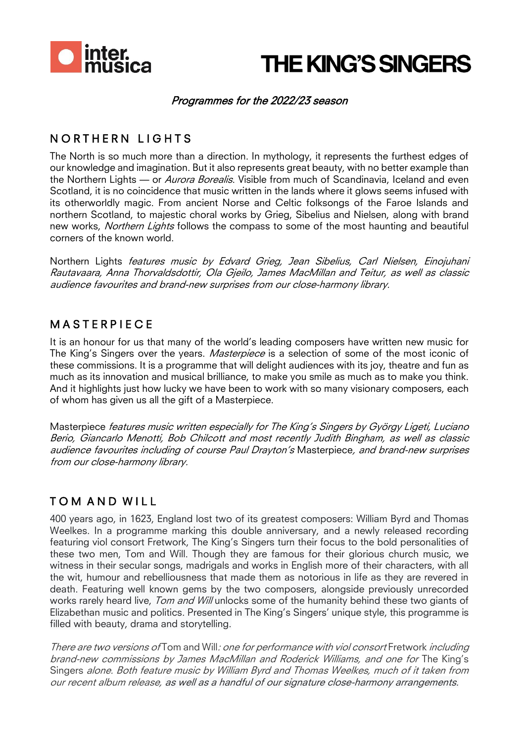

## **THE KING'S SINGERS**

#### Programmes for the 2022/23 season

#### NORTHERN LIGHTS

The North is so much more than a direction. In mythology, it represents the furthest edges of our knowledge and imagination. But it also represents great beauty, with no better example than the Northern Lights — or Aurora Borealis. Visible from much of Scandinavia, Iceland and even Scotland, it is no coincidence that music written in the lands where it glows seems infused with its otherworldly magic. From ancient Norse and Celtic folksongs of the Faroe Islands and northern Scotland, to majestic choral works by Grieg, Sibelius and Nielsen, along with brand new works, Northern Lights follows the compass to some of the most haunting and beautiful corners of the known world.

Northern Lights features music by Edvard Grieg, Jean Sibelius, Carl Nielsen, Einojuhani Rautavaara, Anna Thorvaldsdottir, Ola Gjeilo, James MacMillan and Teitur, as well as classic audience favourites and brand-new surprises from our close-harmony library.

#### **MASTERPIECE**

It is an honour for us that many of the world's leading composers have written new music for The King's Singers over the years. *Masterpiece* is a selection of some of the most iconic of these commissions. It is a programme that will delight audiences with its joy, theatre and fun as much as its innovation and musical brilliance, to make you smile as much as to make you think. And it highlights just how lucky we have been to work with so many visionary composers, each of whom has given us all the gift of a Masterpiece.

Masterpiece features music written especially for The King's Singers by György Ligeti, Luciano Berio, Giancarlo Menotti, Bob Chilcott and most recently Judith Bingham, as well as classic audience favourites including of course Paul Drayton's Masterpiece, and brand-new surprises from our close-harmony library.

#### TOM AND WILL

400 years ago, in 1623, England lost two of its greatest composers: William Byrd and Thomas Weelkes. In a programme marking this double anniversary, and a newly released recording featuring viol consort Fretwork, The King's Singers turn their focus to the bold personalities of these two men, Tom and Will. Though they are famous for their glorious church music, we witness in their secular songs, madrigals and works in English more of their characters, with all the wit, humour and rebelliousness that made them as notorious in life as they are revered in death. Featuring well known gems by the two composers, alongside previously unrecorded works rarely heard live, Tom and Will unlocks some of the humanity behind these two giants of Elizabethan music and politics. Presented in The King's Singers' unique style, this programme is filled with beauty, drama and storytelling.

There are two versions of Tom and Will: one for performance with viol consort Fretwork including brand-new commissions by James MacMillan and Roderick Williams, and one for The King's Singers alone. Both feature music by William Byrd and Thomas Weelkes, much of it taken from our recent album release, as well as a handful of our signature close-harmony arrangements.